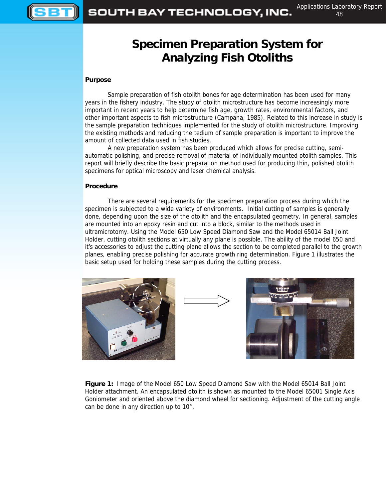

# **Specimen Preparation System for Analyzing Fish Otoliths**

### **Purpose**

Sample preparation of fish otolith bones for age determination has been used for many years in the fishery industry. The study of otolith microstructure has become increasingly more important in recent years to help determine fish age, growth rates, environmental factors, and other important aspects to fish microstructure (Campana, 1985). Related to this increase in study is the sample preparation techniques implemented for the study of otolith microstructure. Improving the existing methods and reducing the tedium of sample preparation is important to improve the amount of collected data used in fish studies.

A new preparation system has been produced which allows for precise cutting, semiautomatic polishing, and precise removal of material of individually mounted otolith samples. This report will briefly describe the basic preparation method used for producing thin, polished otolith specimens for optical microscopy and laser chemical analysis.

#### **Procedure**

There are several requirements for the specimen preparation process during which the specimen is subjected to a wide variety of environments. Initial cutting of samples is generally done, depending upon the size of the otolith and the encapsulated geometry. In general, samples are mounted into an epoxy resin and cut into a block, similar to the methods used in ultramicrotomy. Using the Model 650 Low Speed Diamond Saw and the Model 65014 Ball Joint Holder, cutting otolith sections at virtually any plane is possible. The ability of the model 650 and it's accessories to adjust the cutting plane allows the section to be completed parallel to the growth planes, enabling precise polishing for accurate growth ring determination. Figure 1 illustrates the basic setup used for holding these samples during the cutting process.







**Figure 1:** Image of the Model 650 Low Speed Diamond Saw with the Model 65014 Ball Joint Holder attachment. An encapsulated otolith is shown as mounted to the Model 65001 Single Axis Goniometer and oriented above the diamond wheel for sectioning. Adjustment of the cutting angle can be done in any direction up to 10°.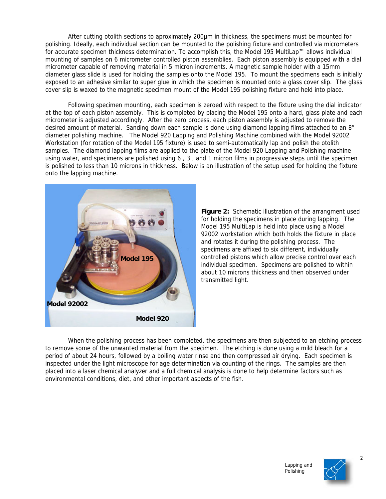After cutting otolith sections to aproximately 200µm in thickness, the specimens must be mounted for polishing. Ideally, each individual section can be mounted to the polishing fixture and controlled via micrometers for accurate specimen thickness determination. To accomplish this, the Model 195 MultiLap™ allows individual mounting of samples on 6 micrometer controlled piston assemblies. Each piston assembly is equipped with a dial micrometer capable of removing material in 5 micron increments. A magnetic sample holder with a 15mm diameter glass slide is used for holding the samples onto the Model 195. To mount the specimens each is initially exposed to an adhesive similar to super glue in which the specimen is mounted onto a glass cover slip. The glass cover slip is waxed to the magnetic specimen mount of the Model 195 polishing fixture and held into place.

Following specimen mounting, each specimen is zeroed with respect to the fixture using the dial indicator at the top of each piston assembly. This is completed by placing the Model 195 onto a hard, glass plate and each micrometer is adjusted accordingly. After the zero process, each piston assembly is adjusted to remove the desired amount of material. Sanding down each sample is done using diamond lapping films attached to an 8" diameter polishing machine. The Model 920 Lapping and Polishing Machine combined with the Model 92002 Workstation (for rotation of the Model 195 fixture) is used to semi-automatically lap and polish the otolith samples. The diamond lapping films are applied to the plate of the Model 920 Lapping and Polishing machine using water, and specimens are polished using 6 , 3 , and 1 micron films in progressive steps until the specimen is polished to less than 10 microns in thickness. Below is an illustration of the setup used for holding the fixture onto the lapping machine.



**Figure 2:** Schematic illustration of the arrangment used for holding the specimens in place during lapping. The Model 195 MultiLap is held into place using a Model 92002 workstation which both holds the fixture in place and rotates it during the polishing process. The specimens are affixed to six different, individually controlled pistons which allow precise control over each individual specimen. Specimens are polished to within about 10 microns thickness and then observed under transmitted light.

When the polishing process has been completed, the specimens are then subjected to an etching process to remove some of the unwanted material from the specimen. The etching is done using a mild bleach for a period of about 24 hours, followed by a boiling water rinse and then compressed air drying. Each specimen is inspected under the light microscope for age determination via counting of the rings. The samples are then placed into a laser chemical analyzer and a full chemical analysis is done to help determine factors such as environmental conditions, diet, and other important aspects of the fish.